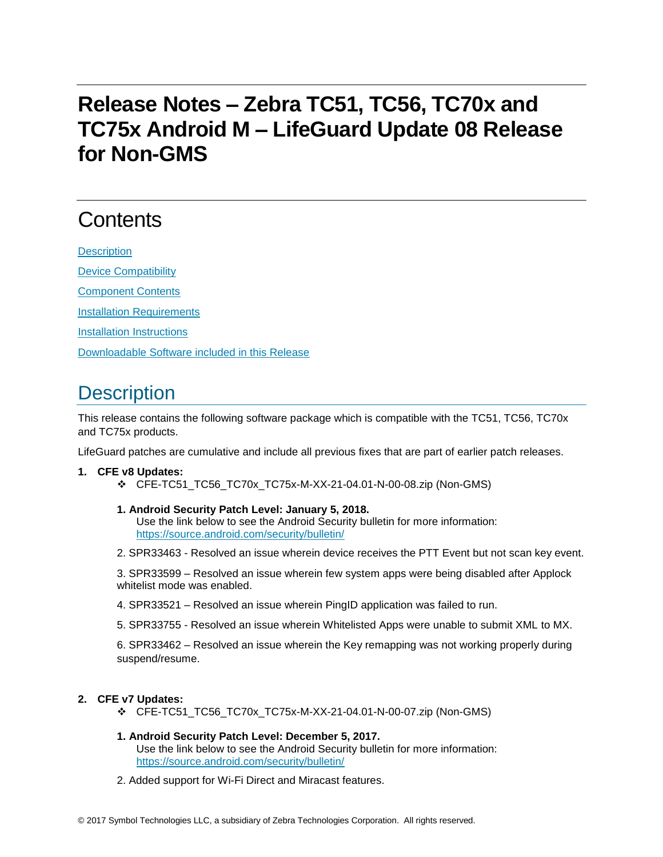# **Release Notes – Zebra TC51, TC56, TC70x and TC75x Android M – LifeGuard Update 08 Release for Non-GMS**

# **Contents**

**[Description](#page-0-0)** [Device Compatibility](#page-2-0) [Component Contents](#page-2-1) [Installation Requirements](#page-3-0)

[Installation Instructions](#page-3-1)

[Downloadable Software included in this Release](#page-4-0)

## <span id="page-0-0"></span>**Description**

This release contains the following software package which is compatible with the TC51, TC56, TC70x and TC75x products.

LifeGuard patches are cumulative and include all previous fixes that are part of earlier patch releases.

#### **1. CFE v8 Updates:**

- ❖ CFE-TC51\_TC56\_TC70x\_TC75x-M-XX-21-04.01-N-00-08.zip (Non-GMS)
- **1. Android Security Patch Level: January 5, 2018.**

Use the link below to see the Android Security bulletin for more information: <https://source.android.com/security/bulletin/>

2. SPR33463 - Resolved an issue wherein device receives the PTT Event but not scan key event.

3. SPR33599 – Resolved an issue wherein few system apps were being disabled after Applock whitelist mode was enabled.

- 4. SPR33521 Resolved an issue wherein PingID application was failed to run.
- 5. SPR33755 Resolved an issue wherein Whitelisted Apps were unable to submit XML to MX.

6. SPR33462 – Resolved an issue wherein the Key remapping was not working properly during suspend/resume.

#### **2. CFE v7 Updates:**

- ❖ CFE-TC51\_TC56\_TC70x\_TC75x-M-XX-21-04.01-N-00-07.zip (Non-GMS)
- **1. Android Security Patch Level: December 5, 2017.** Use the link below to see the Android Security bulletin for more information: <https://source.android.com/security/bulletin/>
- 2. Added support for Wi-Fi Direct and Miracast features.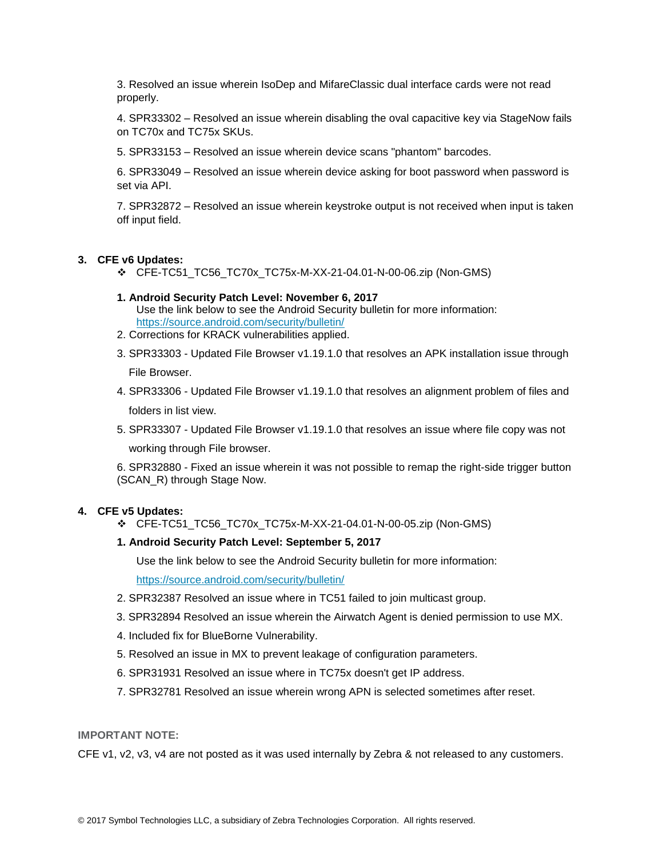3. Resolved an issue wherein IsoDep and MifareClassic dual interface cards were not read properly.

4. SPR33302 – Resolved an issue wherein disabling the oval capacitive key via StageNow fails on TC70x and TC75x SKUs.

5. SPR33153 – Resolved an issue wherein device scans "phantom" barcodes.

6. SPR33049 – Resolved an issue wherein device asking for boot password when password is set via API.

7. SPR32872 – Resolved an issue wherein keystroke output is not received when input is taken off input field.

#### **3. CFE v6 Updates:**

- ❖ CFE-TC51\_TC56\_TC70x\_TC75x-M-XX-21-04.01-N-00-06.zip (Non-GMS)
- **1. Android Security Patch Level: November 6, 2017** Use the link below to see the Android Security bulletin for more information: <https://source.android.com/security/bulletin/>
- 2. Corrections for KRACK vulnerabilities applied.
- 3. SPR33303 Updated File Browser v1.19.1.0 that resolves an APK installation issue through File Browser.
- 4. SPR33306 Updated File Browser v1.19.1.0 that resolves an alignment problem of files and folders in list view.
- 5. SPR33307 Updated File Browser v1.19.1.0 that resolves an issue where file copy was not working through File browser.

6. SPR32880 - Fixed an issue wherein it was not possible to remap the right-side trigger button (SCAN\_R) through Stage Now.

#### **4. CFE v5 Updates:**

❖ CFE-TC51\_TC56\_TC70x\_TC75x-M-XX-21-04.01-N-00-05.zip (Non-GMS)

#### **1. Android Security Patch Level: September 5, 2017**

Use the link below to see the Android Security bulletin for more information:

<https://source.android.com/security/bulletin/>

- 2. SPR32387 Resolved an issue where in TC51 failed to join multicast group.
- 3. SPR32894 Resolved an issue wherein the Airwatch Agent is denied permission to use MX.
- 4. Included fix for BlueBorne Vulnerability.
- 5. Resolved an issue in MX to prevent leakage of configuration parameters.
- 6. SPR31931 Resolved an issue where in TC75x doesn't get IP address.
- 7. SPR32781 Resolved an issue wherein wrong APN is selected sometimes after reset.

#### **IMPORTANT NOTE:**

CFE v1, v2, v3, v4 are not posted as it was used internally by Zebra & not released to any customers.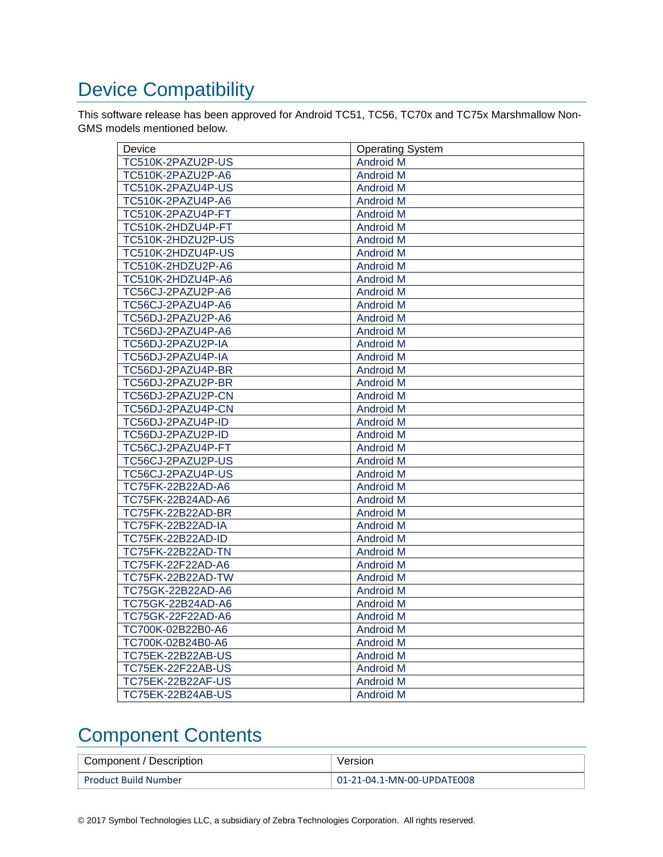# <span id="page-2-0"></span>Device Compatibility

This software release has been approved for Android TC51, TC56, TC70x and TC75x Marshmallow Non-GMS models mentioned below.

| Device                   | <b>Operating System</b> |
|--------------------------|-------------------------|
| TC510K-2PAZU2P-US        | <b>Android M</b>        |
| TC510K-2PAZU2P-A6        | <b>Android M</b>        |
| TC510K-2PAZU4P-US        | <b>Android M</b>        |
| TC510K-2PAZU4P-A6        | <b>Android M</b>        |
| TC510K-2PAZU4P-FT        | <b>Android M</b>        |
| TC510K-2HDZU4P-FT        | <b>Android M</b>        |
| TC510K-2HDZU2P-US        | <b>Android M</b>        |
| TC510K-2HDZU4P-US        | <b>Android M</b>        |
| TC510K-2HDZU2P-A6        | <b>Android M</b>        |
| TC510K-2HDZU4P-A6        | <b>Android M</b>        |
| TC56CJ-2PAZU2P-A6        | <b>Android M</b>        |
| TC56CJ-2PAZU4P-A6        | <b>Android M</b>        |
| TC56DJ-2PAZU2P-A6        | <b>Android M</b>        |
| TC56DJ-2PAZU4P-A6        | <b>Android M</b>        |
| TC56DJ-2PAZU2P-IA        | <b>Android M</b>        |
| TC56DJ-2PAZU4P-IA        | <b>Android M</b>        |
| TC56DJ-2PAZU4P-BR        | <b>Android M</b>        |
| TC56DJ-2PAZU2P-BR        | <b>Android M</b>        |
| TC56DJ-2PAZU2P-CN        | <b>Android M</b>        |
| TC56DJ-2PAZU4P-CN        | <b>Android M</b>        |
| TC56DJ-2PAZU4P-ID        | <b>Android M</b>        |
| TC56DJ-2PAZU2P-ID        | <b>Android M</b>        |
| TC56CJ-2PAZU4P-FT        | <b>Android M</b>        |
| TC56CJ-2PAZU2P-US        | <b>Android M</b>        |
| TC56CJ-2PAZU4P-US        | <b>Android M</b>        |
| TC75FK-22B22AD-A6        | <b>Android M</b>        |
| TC75FK-22B24AD-A6        | <b>Android M</b>        |
| TC75FK-22B22AD-BR        | <b>Android M</b>        |
| <b>TC75FK-22B22AD-IA</b> | <b>Android M</b>        |
| TC75FK-22B22AD-ID        | <b>Android M</b>        |
| <b>TC75FK-22B22AD-TN</b> | <b>Android M</b>        |
| TC75FK-22F22AD-A6        | <b>Android M</b>        |
| <b>TC75FK-22B22AD-TW</b> | <b>Android M</b>        |
| TC75GK-22B22AD-A6        | <b>Android M</b>        |
| TC75GK-22B24AD-A6        | <b>Android M</b>        |
| TC75GK-22F22AD-A6        | <b>Android M</b>        |
| TC700K-02B22B0-A6        | <b>Android M</b>        |
| TC700K-02B24B0-A6        | <b>Android M</b>        |
| TC75EK-22B22AB-US        | <b>Android M</b>        |
| <b>TC75EK-22F22AB-US</b> | <b>Android M</b>        |
| <b>TC75EK-22B22AF-US</b> | <b>Android M</b>        |
| <b>TC75EK-22B24AB-US</b> | <b>Android M</b>        |

## <span id="page-2-1"></span>Component Contents

| Component / Description     | Version                    |
|-----------------------------|----------------------------|
| <b>Product Build Number</b> | 01-21-04.1-MN-00-UPDATE008 |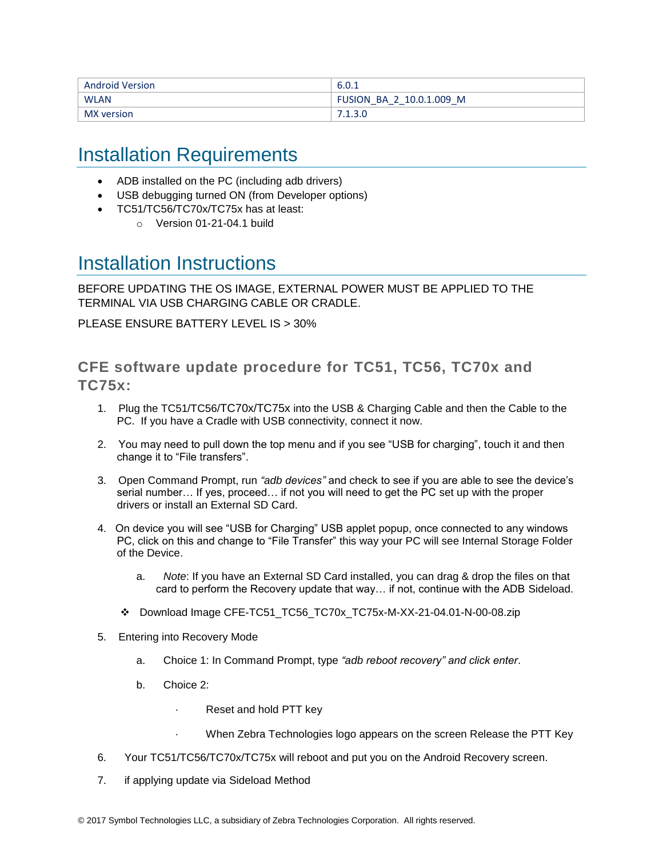| <b>Android Version</b> | 6.0.1                    |
|------------------------|--------------------------|
| <b>WLAN</b>            | FUSION BA 2 10.0.1.009 M |
| MX version             |                          |

### <span id="page-3-0"></span>Installation Requirements

- ADB installed on the PC (including adb drivers)
- USB debugging turned ON (from Developer options)
- TC51/TC56/TC70x/TC75x has at least:
	- $\circ$  Version 01-21-04.1 build

### <span id="page-3-1"></span>Installation Instructions

BEFORE UPDATING THE OS IMAGE, EXTERNAL POWER MUST BE APPLIED TO THE TERMINAL VIA USB CHARGING CABLE OR CRADLE.

PLEASE ENSURE BATTERY LEVEL IS > 30%

### CFE software update procedure for TC51, TC56, TC70x and TC75x:

- 1. Plug the TC51/TC56/TC70x/TC75x into the USB & Charging Cable and then the Cable to the PC. If you have a Cradle with USB connectivity, connect it now.
- 2. You may need to pull down the top menu and if you see "USB for charging", touch it and then change it to "File transfers".
- 3. Open Command Prompt, run *"adb devices"* and check to see if you are able to see the device's serial number… If yes, proceed… if not you will need to get the PC set up with the proper drivers or install an External SD Card.
- 4. On device you will see "USB for Charging" USB applet popup, once connected to any windows PC, click on this and change to "File Transfer" this way your PC will see Internal Storage Folder of the Device.
	- a. *Note*: If you have an External SD Card installed, you can drag & drop the files on that card to perform the Recovery update that way… if not, continue with the ADB Sideload.
	- ❖ Download Image CFE-TC51\_TC56\_TC70x\_TC75x-M-XX-21-04.01-N-00-08.zip
- 5. Entering into Recovery Mode
	- a. Choice 1: In Command Prompt, type *"adb reboot recovery" and click enter*.
	- b. Choice 2:
		- Reset and hold PTT key
		- When Zebra Technologies logo appears on the screen Release the PTT Key
- 6. Your TC51/TC56/TC70x/TC75x will reboot and put you on the Android Recovery screen.
- 7. if applying update via Sideload Method